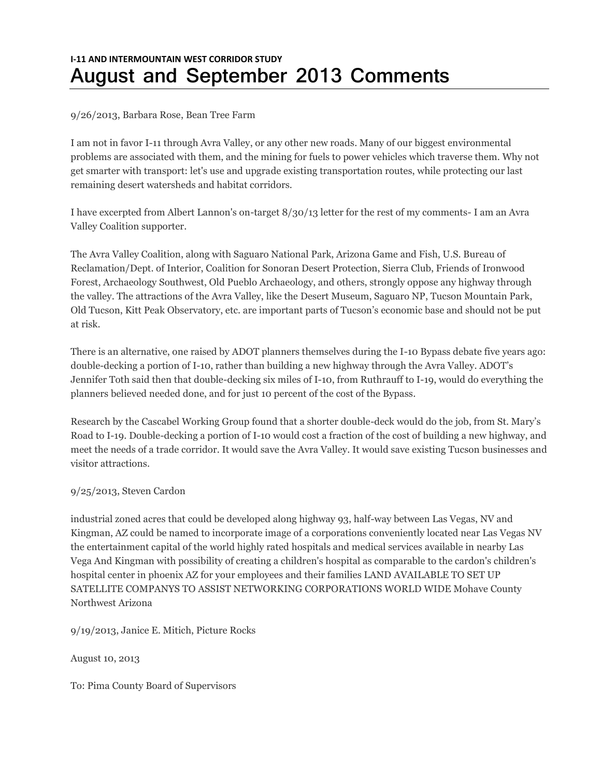# **I-11 AND INTERMOUNTAIN WEST CORRIDOR STUDY August and September 2013 Comments**

## 9/26/2013, Barbara Rose, Bean Tree Farm

I am not in favor I-11 through Avra Valley, or any other new roads. Many of our biggest environmental problems are associated with them, and the mining for fuels to power vehicles which traverse them. Why not get smarter with transport: let's use and upgrade existing transportation routes, while protecting our last remaining desert watersheds and habitat corridors.

I have excerpted from Albert Lannon's on-target 8/30/13 letter for the rest of my comments- I am an Avra Valley Coalition supporter.

The Avra Valley Coalition, along with Saguaro National Park, Arizona Game and Fish, U.S. Bureau of Reclamation/Dept. of Interior, Coalition for Sonoran Desert Protection, Sierra Club, Friends of Ironwood Forest, Archaeology Southwest, Old Pueblo Archaeology, and others, strongly oppose any highway through the valley. The attractions of the Avra Valley, like the Desert Museum, Saguaro NP, Tucson Mountain Park, Old Tucson, Kitt Peak Observatory, etc. are important parts of Tucson's economic base and should not be put at risk.

There is an alternative, one raised by ADOT planners themselves during the I-10 Bypass debate five years ago: double-decking a portion of I-10, rather than building a new highway through the Avra Valley. ADOT's Jennifer Toth said then that double-decking six miles of I-10, from Ruthrauff to I-19, would do everything the planners believed needed done, and for just 10 percent of the cost of the Bypass.

Research by the Cascabel Working Group found that a shorter double-deck would do the job, from St. Mary's Road to I-19. Double-decking a portion of I-10 would cost a fraction of the cost of building a new highway, and meet the needs of a trade corridor. It would save the Avra Valley. It would save existing Tucson businesses and visitor attractions.

# 9/25/2013, Steven Cardon

industrial zoned acres that could be developed along highway 93, half-way between Las Vegas, NV and Kingman, AZ could be named to incorporate image of a corporations conveniently located near Las Vegas NV the entertainment capital of the world highly rated hospitals and medical services available in nearby Las Vega And Kingman with possibility of creating a children's hospital as comparable to the cardon's children's hospital center in phoenix AZ for your employees and their families LAND AVAILABLE TO SET UP SATELLITE COMPANYS TO ASSIST NETWORKING CORPORATIONS WORLD WIDE Mohave County Northwest Arizona

9/19/2013, Janice E. Mitich, Picture Rocks

August 10, 2013

To: Pima County Board of Supervisors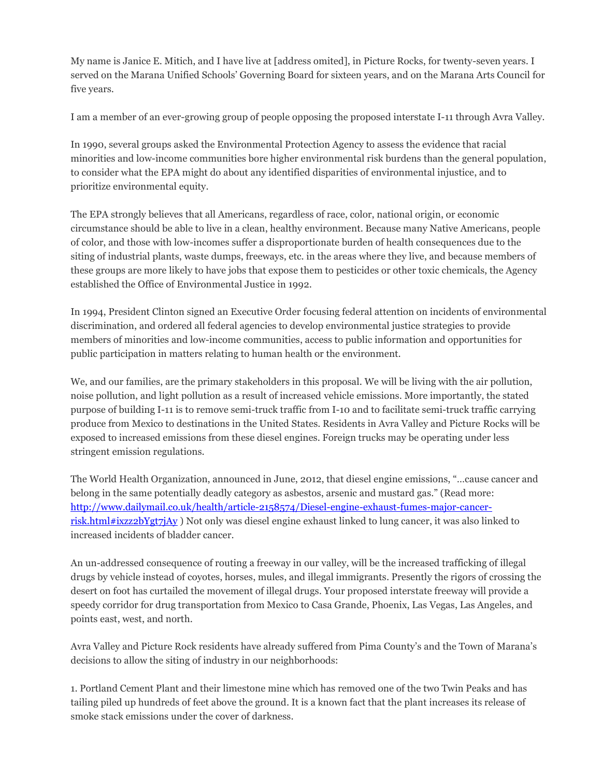My name is Janice E. Mitich, and I have live at [address omited], in Picture Rocks, for twenty-seven years. I served on the Marana Unified Schools' Governing Board for sixteen years, and on the Marana Arts Council for five years.

I am a member of an ever-growing group of people opposing the proposed interstate I-11 through Avra Valley.

In 1990, several groups asked the Environmental Protection Agency to assess the evidence that racial minorities and low-income communities bore higher environmental risk burdens than the general population, to consider what the EPA might do about any identified disparities of environmental injustice, and to prioritize environmental equity.

The EPA strongly believes that all Americans, regardless of race, color, national origin, or economic circumstance should be able to live in a clean, healthy environment. Because many Native Americans, people of color, and those with low-incomes suffer a disproportionate burden of health consequences due to the siting of industrial plants, waste dumps, freeways, etc. in the areas where they live, and because members of these groups are more likely to have jobs that expose them to pesticides or other toxic chemicals, the Agency established the Office of Environmental Justice in 1992.

In 1994, President Clinton signed an Executive Order focusing federal attention on incidents of environmental discrimination, and ordered all federal agencies to develop environmental justice strategies to provide members of minorities and low-income communities, access to public information and opportunities for public participation in matters relating to human health or the environment.

We, and our families, are the primary stakeholders in this proposal. We will be living with the air pollution, noise pollution, and light pollution as a result of increased vehicle emissions. More importantly, the stated purpose of building I-11 is to remove semi-truck traffic from I-10 and to facilitate semi-truck traffic carrying produce from Mexico to destinations in the United States. Residents in Avra Valley and Picture Rocks will be exposed to increased emissions from these diesel engines. Foreign trucks may be operating under less stringent emission regulations.

The World Health Organization, announced in June, 2012, that diesel engine emissions, "…cause cancer and belong in the same potentially deadly category as asbestos, arsenic and mustard gas." (Read more: [http://www.dailymail.co.uk/health/article-2158574/Diesel-engine-exhaust-fumes-major-cancer](http://www.dailymail.co.uk/health/article-2158574/Diesel-engine-exhaust-fumes-major-cancer-risk.html#ixzz2bYgt7jAy)[risk.html#ixzz2bYgt7jAy](http://www.dailymail.co.uk/health/article-2158574/Diesel-engine-exhaust-fumes-major-cancer-risk.html#ixzz2bYgt7jAy) ) Not only was diesel engine exhaust linked to lung cancer, it was also linked to increased incidents of bladder cancer.

An un-addressed consequence of routing a freeway in our valley, will be the increased trafficking of illegal drugs by vehicle instead of coyotes, horses, mules, and illegal immigrants. Presently the rigors of crossing the desert on foot has curtailed the movement of illegal drugs. Your proposed interstate freeway will provide a speedy corridor for drug transportation from Mexico to Casa Grande, Phoenix, Las Vegas, Las Angeles, and points east, west, and north.

Avra Valley and Picture Rock residents have already suffered from Pima County's and the Town of Marana's decisions to allow the siting of industry in our neighborhoods:

1. Portland Cement Plant and their limestone mine which has removed one of the two Twin Peaks and has tailing piled up hundreds of feet above the ground. It is a known fact that the plant increases its release of smoke stack emissions under the cover of darkness.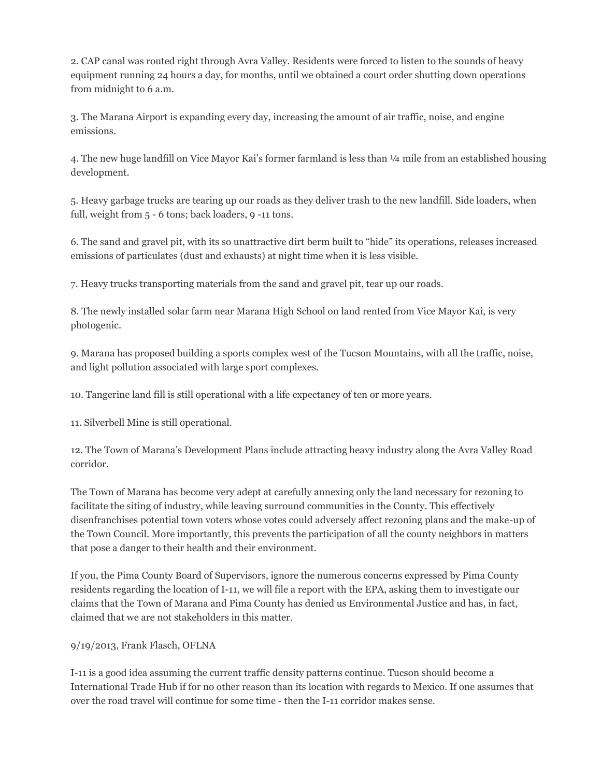2. CAP canal was routed right through Avra Valley. Residents were forced to listen to the sounds of heavy equipment running 24 hours a day, for months, until we obtained a court order shutting down operations from midnight to 6 a.m.

3. The Marana Airport is expanding every day, increasing the amount of air traffic, noise, and engine emissions.

4. The new huge landfill on Vice Mayor Kai's former farmland is less than ¼ mile from an established housing development.

5. Heavy garbage trucks are tearing up our roads as they deliver trash to the new landfill. Side loaders, when full, weight from 5 - 6 tons; back loaders, 9 -11 tons.

6. The sand and gravel pit, with its so unattractive dirt berm built to "hide" its operations, releases increased emissions of particulates (dust and exhausts) at night time when it is less visible.

7. Heavy trucks transporting materials from the sand and gravel pit, tear up our roads.

8. The newly installed solar farm near Marana High School on land rented from Vice Mayor Kai, is very photogenic.

9. Marana has proposed building a sports complex west of the Tucson Mountains, with all the traffic, noise, and light pollution associated with large sport complexes.

10. Tangerine land fill is still operational with a life expectancy of ten or more years.

11. Silverbell Mine is still operational.

12. The Town of Marana's Development Plans include attracting heavy industry along the Avra Valley Road corridor.

The Town of Marana has become very adept at carefully annexing only the land necessary for rezoning to facilitate the siting of industry, while leaving surround communities in the County. This effectively disenfranchises potential town voters whose votes could adversely affect rezoning plans and the make-up of the Town Council. More importantly, this prevents the participation of all the county neighbors in matters that pose a danger to their health and their environment.

If you, the Pima County Board of Supervisors, ignore the numerous concerns expressed by Pima County residents regarding the location of I-11, we will file a report with the EPA, asking them to investigate our claims that the Town of Marana and Pima County has denied us Environmental Justice and has, in fact, claimed that we are not stakeholders in this matter.

# 9/19/2013, Frank Flasch, OFLNA

I-11 is a good idea assuming the current traffic density patterns continue. Tucson should become a International Trade Hub if for no other reason than its location with regards to Mexico. If one assumes that over the road travel will continue for some time - then the I-11 corridor makes sense.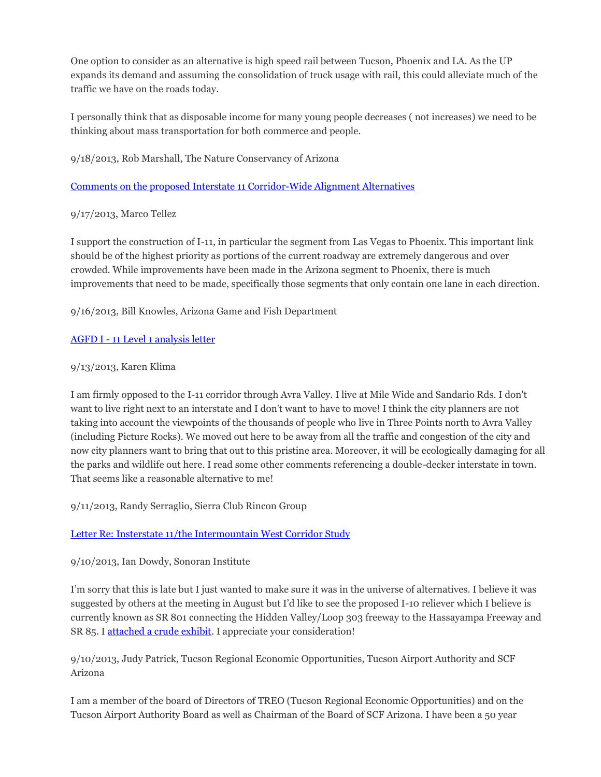One option to consider as an alternative is high speed rail between Tucson, Phoenix and LA. As the UP expands its demand and assuming the consolidation of truck usage with rail, this could alleviate much of the traffic we have on the roads today.

I personally think that as disposable income for many young people decreases ( not increases) we need to be thinking about mass transportation for both commerce and people.

9/18/2013, Rob Marshall, The Nature Conservancy of Arizona

[Comments on the proposed Interstate 11 Corridor-Wide Alignment Alternatives](http://i11study.com/wp/wp-content/uploads/2013/08/I-11-TNC-Comments-Appendices-9-18-2013.pdf) 

9/17/2013, Marco Tellez

I support the construction of I-11, in particular the segment from Las Vegas to Phoenix. This important link should be of the highest priority as portions of the current roadway are extremely dangerous and over crowded. While improvements have been made in the Arizona segment to Phoenix, there is much improvements that need to be made, specifically those segments that only contain one lane in each direction.

9/16/2013, Bill Knowles, Arizona Game and Fish Department

## AGFD I - [11 Level 1 analysis letter](http://i11study.com/wp/wp-content/uploads/2013/08/M13-08164151-I-11-Level-1-Analysis.pdf)

## 9/13/2013, Karen Klima

I am firmly opposed to the I-11 corridor through Avra Valley. I live at Mile Wide and Sandario Rds. I don't want to live right next to an interstate and I don't want to have to move! I think the city planners are not taking into account the viewpoints of the thousands of people who live in Three Points north to Avra Valley (including Picture Rocks). We moved out here to be away from all the traffic and congestion of the city and now city planners want to bring that out to this pristine area. Moreover, it will be ecologically damaging for all the parks and wildlife out here. I read some other comments referencing a double-decker interstate in town. That seems like a reasonable alternative to me!

9/11/2013, Randy Serraglio, Sierra Club Rincon Group

# [Letter Re: Insterstate 11/the Intermountain West Corridor Study](http://i11study.com/wp/wp-content/uploads/2013/08/Sierra-Club-Letter-091113.pdf)

9/10/2013, Ian Dowdy, Sonoran Institute

I'm sorry that this is late but I just wanted to make sure it was in the universe of alternatives. I believe it was suggested by others at the meeting in August but I'd like to see the proposed I-10 reliever which I believe is currently known as SR 801 connecting the Hidden Valley/Loop 303 freeway to the Hassayampa Freeway and SR 85. [I attached a crude exhibit.](http://i11study.com/wp/wp-content/uploads/2013/08/Sonoran-Alternative-Addition.pdf) I appreciate your consideration!

9/10/2013, Judy Patrick, Tucson Regional Economic Opportunities, Tucson Airport Authority and SCF Arizona

I am a member of the board of Directors of TREO (Tucson Regional Economic Opportunities) and on the Tucson Airport Authority Board as well as Chairman of the Board of SCF Arizona. I have been a 50 year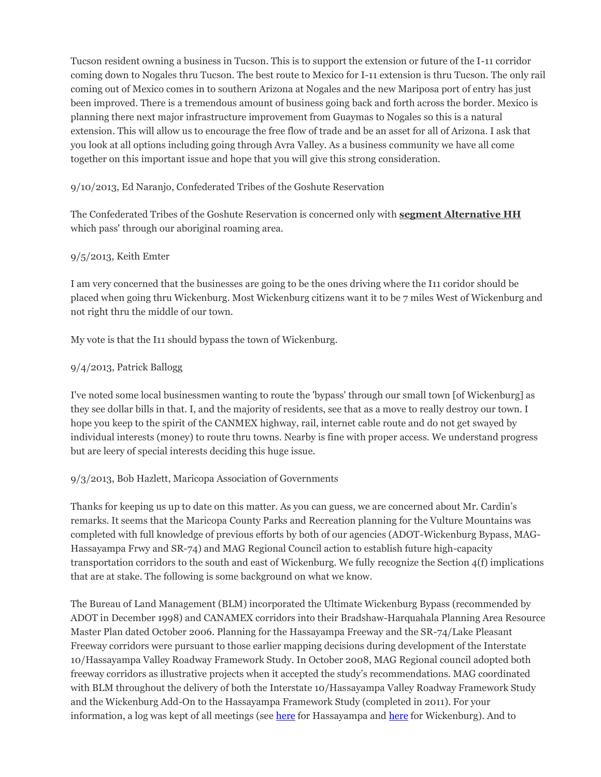Tucson resident owning a business in Tucson. This is to support the extension or future of the I-11 corridor coming down to Nogales thru Tucson. The best route to Mexico for I-11 extension is thru Tucson. The only rail coming out of Mexico comes in to southern Arizona at Nogales and the new Mariposa port of entry has just been improved. There is a tremendous amount of business going back and forth across the border. Mexico is planning there next major infrastructure improvement from Guaymas to Nogales so this is a natural extension. This will allow us to encourage the free flow of trade and be an asset for all of Arizona. I ask that you look at all options including going through Avra Valley. As a business community we have all come together on this important issue and hope that you will give this strong consideration.

## 9/10/2013, Ed Naranjo, Confederated Tribes of the Goshute Reservation

The Confederated Tribes of the Goshute Reservation is concerned only with **segment Alternative HH** which pass' through our aboriginal roaming area.

## 9/5/2013, Keith Emter

I am very concerned that the businesses are going to be the ones driving where the I11 coridor should be placed when going thru Wickenburg. Most Wickenburg citizens want it to be 7 miles West of Wickenburg and not right thru the middle of our town.

My vote is that the I11 should bypass the town of Wickenburg.

## 9/4/2013, Patrick Ballogg

I've noted some local businessmen wanting to route the 'bypass' through our small town [of Wickenburg] as they see dollar bills in that. I, and the majority of residents, see that as a move to really destroy our town. I hope you keep to the spirit of the CANMEX highway, rail, internet cable route and do not get swayed by individual interests (money) to route thru towns. Nearby is fine with proper access. We understand progress but are leery of special interests deciding this huge issue.

#### 9/3/2013, Bob Hazlett, Maricopa Association of Governments

Thanks for keeping us up to date on this matter. As you can guess, we are concerned about Mr. Cardin's remarks. It seems that the Maricopa County Parks and Recreation planning for the Vulture Mountains was completed with full knowledge of previous efforts by both of our agencies (ADOT-Wickenburg Bypass, MAG-Hassayampa Frwy and SR-74) and MAG Regional Council action to establish future high-capacity transportation corridors to the south and east of Wickenburg. We fully recognize the Section 4(f) implications that are at stake. The following is some background on what we know.

The Bureau of Land Management (BLM) incorporated the Ultimate Wickenburg Bypass (recommended by ADOT in December 1998) and CANAMEX corridors into their Bradshaw-Harquahala Planning Area Resource Master Plan dated October 2006. Planning for the Hassayampa Freeway and the SR-74/Lake Pleasant Freeway corridors were pursuant to those earlier mapping decisions during development of the Interstate 10/Hassayampa Valley Roadway Framework Study. In October 2008, MAG Regional council adopted both freeway corridors as illustrative projects when it accepted the study's recommendations. MAG coordinated with BLM throughout the delivery of both the Interstate 10/Hassayampa Valley Roadway Framework Study and the Wickenburg Add-On to the Hassayampa Framework Study (completed in 2011). For your information, a log was kept of all meetings (see [here](http://bqaz.org/pdf/wickenburg/BQAZ_2011-09-16_Final-Wickenburg-Framework-Study.pdf) for Hassayampa and here for Wickenburg). And to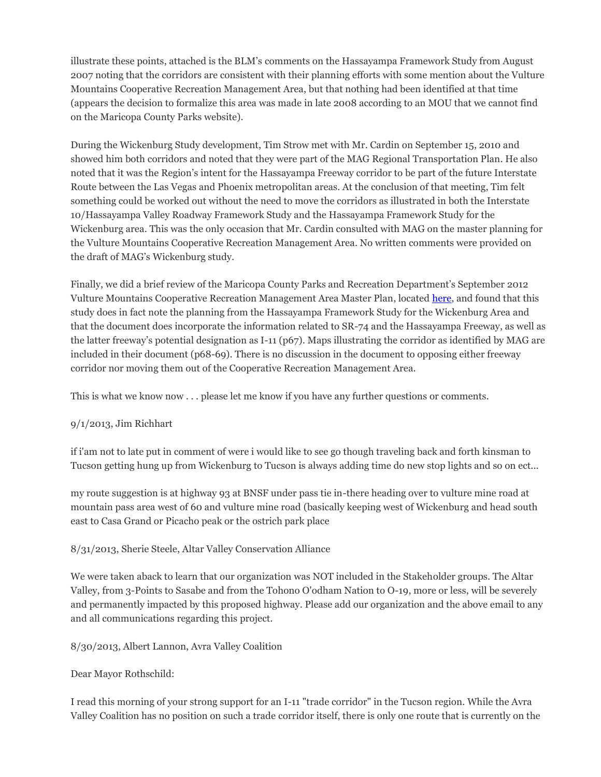illustrate these points, attached is the BLM's comments on the Hassayampa Framework Study from August 2007 noting that the corridors are consistent with their planning efforts with some mention about the Vulture Mountains Cooperative Recreation Management Area, but that nothing had been identified at that time (appears the decision to formalize this area was made in late 2008 according to an MOU that we cannot find on the Maricopa County Parks website).

During the Wickenburg Study development, Tim Strow met with Mr. Cardin on September 15, 2010 and showed him both corridors and noted that they were part of the MAG Regional Transportation Plan. He also noted that it was the Region's intent for the Hassayampa Freeway corridor to be part of the future Interstate Route between the Las Vegas and Phoenix metropolitan areas. At the conclusion of that meeting, Tim felt something could be worked out without the need to move the corridors as illustrated in both the Interstate 10/Hassayampa Valley Roadway Framework Study and the Hassayampa Framework Study for the Wickenburg area. This was the only occasion that Mr. Cardin consulted with MAG on the master planning for the Vulture Mountains Cooperative Recreation Management Area. No written comments were provided on the draft of MAG's Wickenburg study.

Finally, we did a brief review of the Maricopa County Parks and Recreation Department's September 2012 Vulture Mountains Cooperative Recreation Management Area Master Plan, located [here,](http://www.google.com/url?sa=t&rct=j&q=&esrc=s&source=web&cd=1&ved=0CCwQFjAA&url=http%3A%2F%2Fwww.maricopa.gov%2Fparks%2Fvulture%2Fpdf%2FVulture_Mtns_Cooperative_Recreation_Management_Area_Master_Plan_Final.pdf&ei=vBQdUqSVEaq3iwKy8YHQAg&usg=AFQjCNElUcohE6Ngf2IMoWKCvd58z4R2Jw&sig2=t-UqTOFRY8cfUrl1q-7mFw&bvm=bv.51470160,d.cGE&cad=rja) and found that this study does in fact note the planning from the Hassayampa Framework Study for the Wickenburg Area and that the document does incorporate the information related to SR-74 and the Hassayampa Freeway, as well as the latter freeway's potential designation as I-11 (p67). Maps illustrating the corridor as identified by MAG are included in their document (p68-69). There is no discussion in the document to opposing either freeway corridor nor moving them out of the Cooperative Recreation Management Area.

This is what we know now . . . please let me know if you have any further questions or comments.

# 9/1/2013, Jim Richhart

if i'am not to late put in comment of were i would like to see go though traveling back and forth kinsman to Tucson getting hung up from Wickenburg to Tucson is always adding time do new stop lights and so on ect...

my route suggestion is at highway 93 at BNSF under pass tie in-there heading over to vulture mine road at mountain pass area west of 60 and vulture mine road (basically keeping west of Wickenburg and head south east to Casa Grand or Picacho peak or the ostrich park place

# 8/31/2013, Sherie Steele, Altar Valley Conservation Alliance

We were taken aback to learn that our organization was NOT included in the Stakeholder groups. The Altar Valley, from 3-Points to Sasabe and from the Tohono O'odham Nation to O-19, more or less, will be severely and permanently impacted by this proposed highway. Please add our organization and the above email to any and all communications regarding this project.

# 8/30/2013, Albert Lannon, Avra Valley Coalition

# Dear Mayor Rothschild:

I read this morning of your strong support for an I-11 "trade corridor" in the Tucson region. While the Avra Valley Coalition has no position on such a trade corridor itself, there is only one route that is currently on the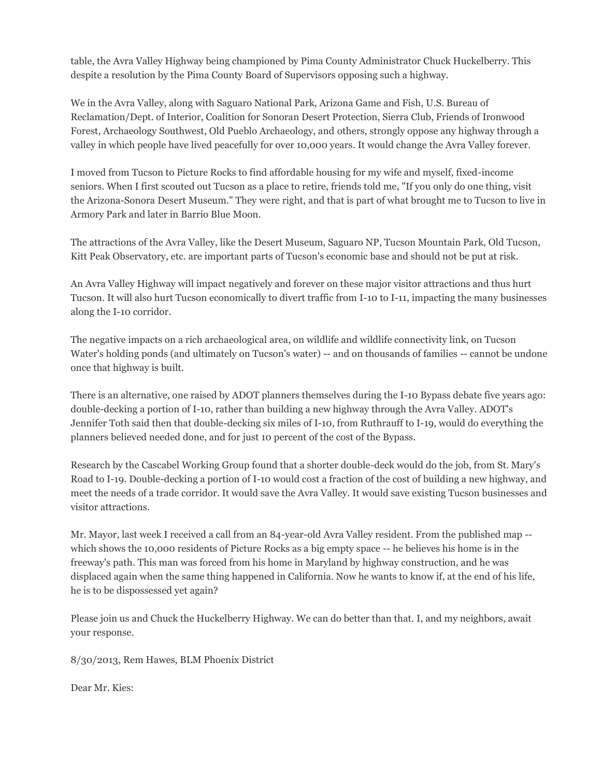table, the Avra Valley Highway being championed by Pima County Administrator Chuck Huckelberry. This despite a resolution by the Pima County Board of Supervisors opposing such a highway.

We in the Avra Valley, along with Saguaro National Park, Arizona Game and Fish, U.S. Bureau of Reclamation/Dept. of Interior, Coalition for Sonoran Desert Protection, Sierra Club, Friends of Ironwood Forest, Archaeology Southwest, Old Pueblo Archaeology, and others, strongly oppose any highway through a valley in which people have lived peacefully for over 10,000 years. It would change the Avra Valley forever.

I moved from Tucson to Picture Rocks to find affordable housing for my wife and myself, fixed-income seniors. When I first scouted out Tucson as a place to retire, friends told me, "If you only do one thing, visit the Arizona-Sonora Desert Museum." They were right, and that is part of what brought me to Tucson to live in Armory Park and later in Barrio Blue Moon.

The attractions of the Avra Valley, like the Desert Museum, Saguaro NP, Tucson Mountain Park, Old Tucson, Kitt Peak Observatory, etc. are important parts of Tucson's economic base and should not be put at risk.

An Avra Valley Highway will impact negatively and forever on these major visitor attractions and thus hurt Tucson. It will also hurt Tucson economically to divert traffic from I-10 to I-11, impacting the many businesses along the I-10 corridor.

The negative impacts on a rich archaeological area, on wildlife and wildlife connectivity link, on Tucson Water's holding ponds (and ultimately on Tucson's water) -- and on thousands of families -- cannot be undone once that highway is built.

There is an alternative, one raised by ADOT planners themselves during the I-10 Bypass debate five years ago: double-decking a portion of I-10, rather than building a new highway through the Avra Valley. ADOT's Jennifer Toth said then that double-decking six miles of I-10, from Ruthrauff to I-19, would do everything the planners believed needed done, and for just 10 percent of the cost of the Bypass.

Research by the Cascabel Working Group found that a shorter double-deck would do the job, from St. Mary's Road to I-19. Double-decking a portion of I-10 would cost a fraction of the cost of building a new highway, and meet the needs of a trade corridor. It would save the Avra Valley. It would save existing Tucson businesses and visitor attractions.

Mr. Mayor, last week I received a call from an 84-year-old Avra Valley resident. From the published map - which shows the 10,000 residents of Picture Rocks as a big empty space -- he believes his home is in the freeway's path. This man was forced from his home in Maryland by highway construction, and he was displaced again when the same thing happened in California. Now he wants to know if, at the end of his life, he is to be dispossessed yet again?

Please join us and Chuck the Huckelberry Highway. We can do better than that. I, and my neighbors, await your response.

8/30/2013, Rem Hawes, BLM Phoenix District

Dear Mr. Kies: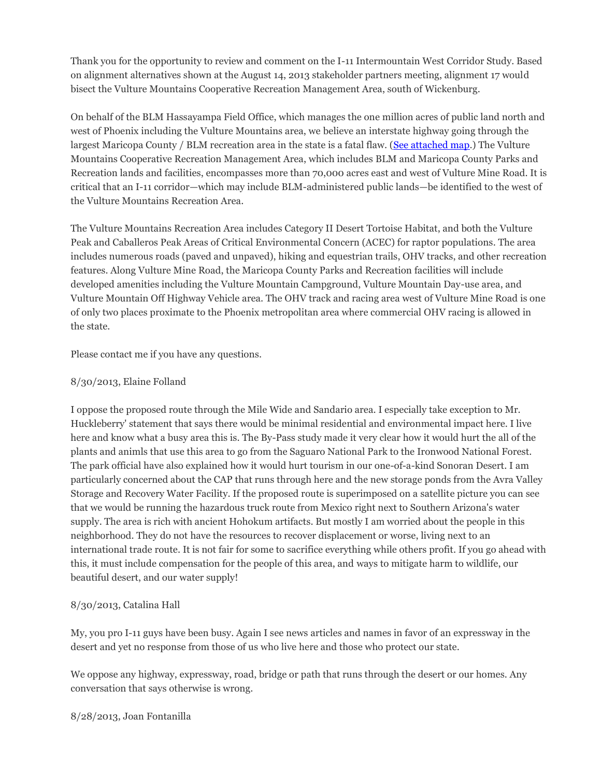Thank you for the opportunity to review and comment on the I-11 Intermountain West Corridor Study. Based on alignment alternatives shown at the August 14, 2013 stakeholder partners meeting, alignment 17 would bisect the Vulture Mountains Cooperative Recreation Management Area, south of Wickenburg.

On behalf of the BLM Hassayampa Field Office, which manages the one million acres of public land north and west of Phoenix including the Vulture Mountains area, we believe an interstate highway going through the largest Maricopa County / BLM recreation area in the state is a fatal flaw. [\(See attached map.](http://i11study.com/wp/wp-content/uploads/2013/08/Vulture_Mtns_CRMA_map.jpg)) The Vulture Mountains Cooperative Recreation Management Area, which includes BLM and Maricopa County Parks and Recreation lands and facilities, encompasses more than 70,000 acres east and west of Vulture Mine Road. It is critical that an I-11 corridor—which may include BLM-administered public lands—be identified to the west of the Vulture Mountains Recreation Area.

The Vulture Mountains Recreation Area includes Category II Desert Tortoise Habitat, and both the Vulture Peak and Caballeros Peak Areas of Critical Environmental Concern (ACEC) for raptor populations. The area includes numerous roads (paved and unpaved), hiking and equestrian trails, OHV tracks, and other recreation features. Along Vulture Mine Road, the Maricopa County Parks and Recreation facilities will include developed amenities including the Vulture Mountain Campground, Vulture Mountain Day-use area, and Vulture Mountain Off Highway Vehicle area. The OHV track and racing area west of Vulture Mine Road is one of only two places proximate to the Phoenix metropolitan area where commercial OHV racing is allowed in the state.

Please contact me if you have any questions.

## 8/30/2013, Elaine Folland

I oppose the proposed route through the Mile Wide and Sandario area. I especially take exception to Mr. Huckleberry' statement that says there would be minimal residential and environmental impact here. I live here and know what a busy area this is. The By-Pass study made it very clear how it would hurt the all of the plants and animls that use this area to go from the Saguaro National Park to the Ironwood National Forest. The park official have also explained how it would hurt tourism in our one-of-a-kind Sonoran Desert. I am particularly concerned about the CAP that runs through here and the new storage ponds from the Avra Valley Storage and Recovery Water Facility. If the proposed route is superimposed on a satellite picture you can see that we would be running the hazardous truck route from Mexico right next to Southern Arizona's water supply. The area is rich with ancient Hohokum artifacts. But mostly I am worried about the people in this neighborhood. They do not have the resources to recover displacement or worse, living next to an international trade route. It is not fair for some to sacrifice everything while others profit. If you go ahead with this, it must include compensation for the people of this area, and ways to mitigate harm to wildlife, our beautiful desert, and our water supply!

# 8/30/2013, Catalina Hall

My, you pro I-11 guys have been busy. Again I see news articles and names in favor of an expressway in the desert and yet no response from those of us who live here and those who protect our state.

We oppose any highway, expressway, road, bridge or path that runs through the desert or our homes. Any conversation that says otherwise is wrong.

8/28/2013, Joan Fontanilla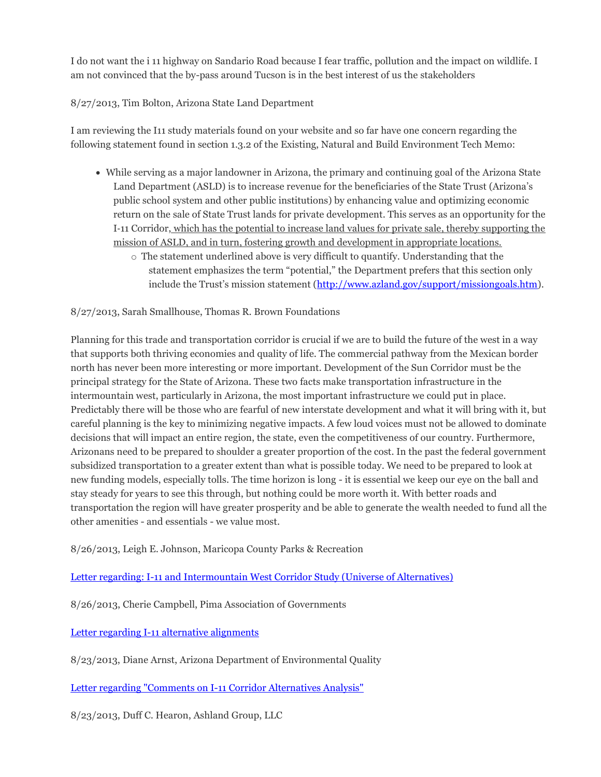I do not want the i 11 highway on Sandario Road because I fear traffic, pollution and the impact on wildlife. I am not convinced that the by-pass around Tucson is in the best interest of us the stakeholders

## 8/27/2013, Tim Bolton, Arizona State Land Department

I am reviewing the I11 study materials found on your website and so far have one concern regarding the following statement found in section 1.3.2 of the Existing, Natural and Build Environment Tech Memo:

- While serving as a major landowner in Arizona, the primary and continuing goal of the Arizona State Land Department (ASLD) is to increase revenue for the beneficiaries of the State Trust (Arizona's public school system and other public institutions) by enhancing value and optimizing economic return on the sale of State Trust lands for private development. This serves as an opportunity for the I‐11 Corridor, which has the potential to increase land values for private sale, thereby supporting the mission of ASLD, and in turn, fostering growth and development in appropriate locations.
	- $\circ$  The statement underlined above is very difficult to quantify. Understanding that the statement emphasizes the term "potential," the Department prefers that this section only include the Trust's mission statement ([http://www.azland.gov/support/missiongoals.htm\)](http://www.azland.gov/support/missiongoals.htm).

#### 8/27/2013, Sarah Smallhouse, Thomas R. Brown Foundations

Planning for this trade and transportation corridor is crucial if we are to build the future of the west in a way that supports both thriving economies and quality of life. The commercial pathway from the Mexican border north has never been more interesting or more important. Development of the Sun Corridor must be the principal strategy for the State of Arizona. These two facts make transportation infrastructure in the intermountain west, particularly in Arizona, the most important infrastructure we could put in place. Predictably there will be those who are fearful of new interstate development and what it will bring with it, but careful planning is the key to minimizing negative impacts. A few loud voices must not be allowed to dominate decisions that will impact an entire region, the state, even the competitiveness of our country. Furthermore, Arizonans need to be prepared to shoulder a greater proportion of the cost. In the past the federal government subsidized transportation to a greater extent than what is possible today. We need to be prepared to look at new funding models, especially tolls. The time horizon is long - it is essential we keep our eye on the ball and stay steady for years to see this through, but nothing could be more worth it. With better roads and transportation the region will have greater prosperity and be able to generate the wealth needed to fund all the other amenities - and essentials - we value most.

8/26/2013, Leigh E. Johnson, Maricopa County Parks & Recreation

[Letter regarding: I-11 and Intermountain West Corridor Study \(Universe of Alternatives\)](http://i11study.com/wp/wp-content/uploads/2013/08/Interstate11_CommentLetter_signed.pdf)

8/26/2013, Cherie Campbell, Pima Association of Governments

[Letter regarding I-11 alternative alignments](http://i11study.com/wp/wp-content/uploads/2013/08/I-11_Intermountain_West_Corridor_Study_comment_letter_to_ADOT_from_PAG_Aug232013.pdf)

8/23/2013, Diane Arnst, Arizona Department of Environmental Quality

[Letter regarding "Comments on I-11 Corridor Alternatives Analysis"](http://i11study.com/wp/wp-content/uploads/2013/08/130823-SignedI-11-Comments-to-ADOT.pdf)

8/23/2013, Duff C. Hearon, Ashland Group, LLC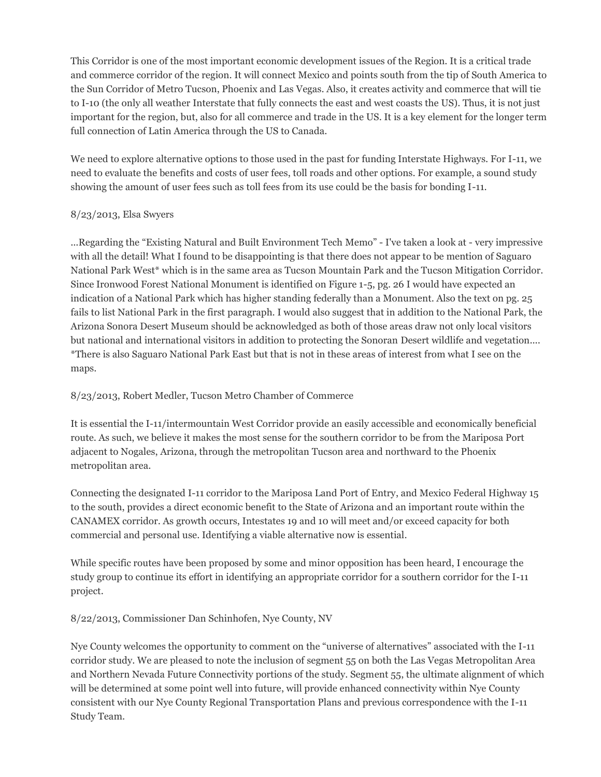This Corridor is one of the most important economic development issues of the Region. It is a critical trade and commerce corridor of the region. It will connect Mexico and points south from the tip of South America to the Sun Corridor of Metro Tucson, Phoenix and Las Vegas. Also, it creates activity and commerce that will tie to I-10 (the only all weather Interstate that fully connects the east and west coasts the US). Thus, it is not just important for the region, but, also for all commerce and trade in the US. It is a key element for the longer term full connection of Latin America through the US to Canada.

We need to explore alternative options to those used in the past for funding Interstate Highways. For I-11, we need to evaluate the benefits and costs of user fees, toll roads and other options. For example, a sound study showing the amount of user fees such as toll fees from its use could be the basis for bonding I-11.

## 8/23/2013, Elsa Swyers

...Regarding the "Existing Natural and Built Environment Tech Memo" - I've taken a look at - very impressive with all the detail! What I found to be disappointing is that there does not appear to be mention of Saguaro National Park West\* which is in the same area as Tucson Mountain Park and the Tucson Mitigation Corridor. Since Ironwood Forest National Monument is identified on Figure 1-5, pg. 26 I would have expected an indication of a National Park which has higher standing federally than a Monument. Also the text on pg. 25 fails to list National Park in the first paragraph. I would also suggest that in addition to the National Park, the Arizona Sonora Desert Museum should be acknowledged as both of those areas draw not only local visitors but national and international visitors in addition to protecting the Sonoran Desert wildlife and vegetation.... \*There is also Saguaro National Park East but that is not in these areas of interest from what I see on the maps.

# 8/23/2013, Robert Medler, Tucson Metro Chamber of Commerce

It is essential the I-11/intermountain West Corridor provide an easily accessible and economically beneficial route. As such, we believe it makes the most sense for the southern corridor to be from the Mariposa Port adjacent to Nogales, Arizona, through the metropolitan Tucson area and northward to the Phoenix metropolitan area.

Connecting the designated I-11 corridor to the Mariposa Land Port of Entry, and Mexico Federal Highway 15 to the south, provides a direct economic benefit to the State of Arizona and an important route within the CANAMEX corridor. As growth occurs, Intestates 19 and 10 will meet and/or exceed capacity for both commercial and personal use. Identifying a viable alternative now is essential.

While specific routes have been proposed by some and minor opposition has been heard, I encourage the study group to continue its effort in identifying an appropriate corridor for a southern corridor for the I-11 project.

# 8/22/2013, Commissioner Dan Schinhofen, Nye County, NV

Nye County welcomes the opportunity to comment on the "universe of alternatives" associated with the I-11 corridor study. We are pleased to note the inclusion of segment 55 on both the Las Vegas Metropolitan Area and Northern Nevada Future Connectivity portions of the study. Segment 55, the ultimate alignment of which will be determined at some point well into future, will provide enhanced connectivity within Nye County consistent with our Nye County Regional Transportation Plans and previous correspondence with the I-11 Study Team.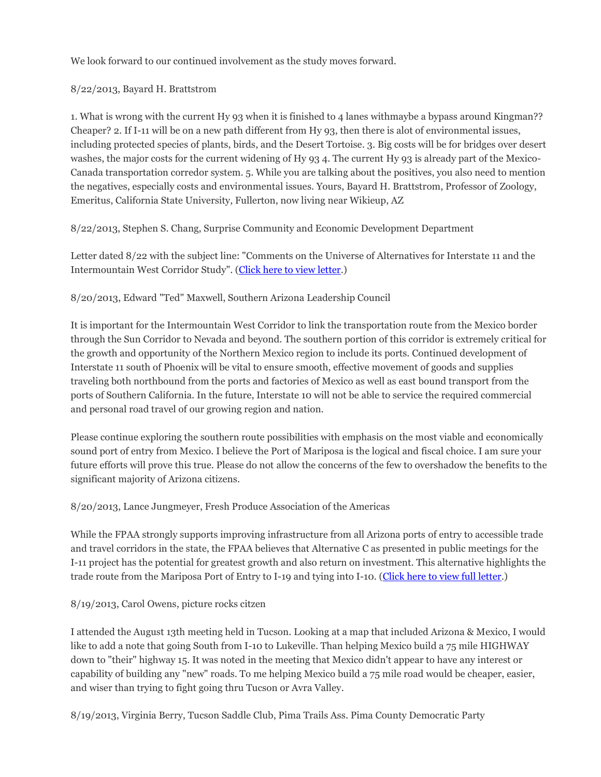We look forward to our continued involvement as the study moves forward.

## 8/22/2013, Bayard H. Brattstrom

1. What is wrong with the current Hy 93 when it is finished to 4 lanes withmaybe a bypass around Kingman?? Cheaper? 2. If I-11 will be on a new path different from Hy 93, then there is alot of environmental issues, including protected species of plants, birds, and the Desert Tortoise. 3. Big costs will be for bridges over desert washes, the major costs for the current widening of Hy 934. The current Hy 93 is already part of the Mexico-Canada transportation corredor system. 5. While you are talking about the positives, you also need to mention the negatives, especially costs and environmental issues. Yours, Bayard H. Brattstrom, Professor of Zoology, Emeritus, California State University, Fullerton, now living near Wikieup, AZ

8/22/2013, Stephen S. Chang, Surprise Community and Economic Development Department

Letter dated 8/22 with the subject line: "Comments on the Universe of Alternatives for Interstate 11 and the Intermountain West Corridor Study". [\(Click here to view letter.\)](http://i11study.com/wp/wp-content/uploads/2013/08/Surprise-Comments-on-I-11-Universe-of-Alternatives.pdf)

# 8/20/2013, Edward "Ted" Maxwell, Southern Arizona Leadership Council

It is important for the Intermountain West Corridor to link the transportation route from the Mexico border through the Sun Corridor to Nevada and beyond. The southern portion of this corridor is extremely critical for the growth and opportunity of the Northern Mexico region to include its ports. Continued development of Interstate 11 south of Phoenix will be vital to ensure smooth, effective movement of goods and supplies traveling both northbound from the ports and factories of Mexico as well as east bound transport from the ports of Southern California. In the future, Interstate 10 will not be able to service the required commercial and personal road travel of our growing region and nation.

Please continue exploring the southern route possibilities with emphasis on the most viable and economically sound port of entry from Mexico. I believe the Port of Mariposa is the logical and fiscal choice. I am sure your future efforts will prove this true. Please do not allow the concerns of the few to overshadow the benefits to the significant majority of Arizona citizens.

#### 8/20/2013, Lance Jungmeyer, Fresh Produce Association of the Americas

While the FPAA strongly supports improving infrastructure from all Arizona ports of entry to accessible trade and travel corridors in the state, the FPAA believes that Alternative C as presented in public meetings for the I-11 project has the potential for greatest growth and also return on investment. This alternative highlights the trade route from the Mariposa Port of Entry to I-19 and tying into I-10. [\(Click here to view full letter.](http://i11study.com/wp/wp-content/uploads/2013/08/I-11-Comments-Aug-2013.pdf))

#### 8/19/2013, Carol Owens, picture rocks citzen

I attended the August 13th meeting held in Tucson. Looking at a map that included Arizona & Mexico, I would like to add a note that going South from I-10 to Lukeville. Than helping Mexico build a 75 mile HIGHWAY down to "their" highway 15. It was noted in the meeting that Mexico didn't appear to have any interest or capability of building any "new" roads. To me helping Mexico build a 75 mile road would be cheaper, easier, and wiser than trying to fight going thru Tucson or Avra Valley.

8/19/2013, Virginia Berry, Tucson Saddle Club, Pima Trails Ass. Pima County Democratic Party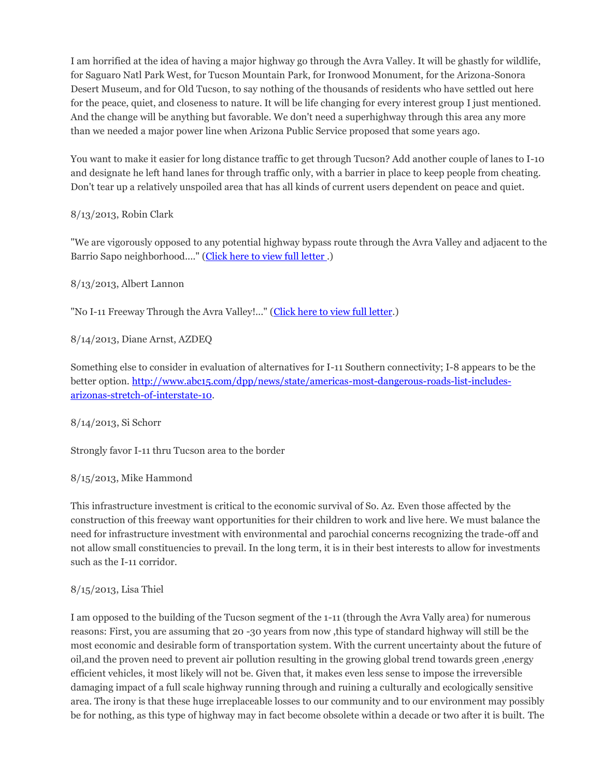I am horrified at the idea of having a major highway go through the Avra Valley. It will be ghastly for wildlife, for Saguaro Natl Park West, for Tucson Mountain Park, for Ironwood Monument, for the Arizona-Sonora Desert Museum, and for Old Tucson, to say nothing of the thousands of residents who have settled out here for the peace, quiet, and closeness to nature. It will be life changing for every interest group I just mentioned. And the change will be anything but favorable. We don't need a superhighway through this area any more than we needed a major power line when Arizona Public Service proposed that some years ago.

You want to make it easier for long distance traffic to get through Tucson? Add another couple of lanes to I-10 and designate he left hand lanes for through traffic only, with a barrier in place to keep people from cheating. Don't tear up a relatively unspoiled area that has all kinds of current users dependent on peace and quiet.

#### 8/13/2013, Robin Clark

"We are vigorously opposed to any potential highway bypass route through the Avra Valley and adjacent to the Barrio Sapo neighborhood...." [\(Click here to view full letter .](http://i11study.com/wp/wp-content/uploads/2013/08/2013-08-13_Resident-Letter_Clark.pdf))

8/13/2013, Albert Lannon

"No I-11 Freeway Through the Avra Valley!..." [\(Click here to view full letter.](http://i11study.com/wp/wp-content/uploads/2013/08/2013-08-13_Avra-Valley-Coalition-letter.pdf))

8/14/2013, Diane Arnst, AZDEQ

Something else to consider in evaluation of alternatives for I-11 Southern connectivity; I-8 appears to be the better option[. http://www.abc15.com/dpp/news/state/americas-most-dangerous-roads-list-includes](http://www.abc15.com/dpp/news/state/americas-most-dangerous-roads-list-includes-arizonas-stretch-of-interstate-10)[arizonas-stretch-of-interstate-10.](http://www.abc15.com/dpp/news/state/americas-most-dangerous-roads-list-includes-arizonas-stretch-of-interstate-10)

8/14/2013, Si Schorr

Strongly favor I-11 thru Tucson area to the border

8/15/2013, Mike Hammond

This infrastructure investment is critical to the economic survival of So. Az. Even those affected by the construction of this freeway want opportunities for their children to work and live here. We must balance the need for infrastructure investment with environmental and parochial concerns recognizing the trade-off and not allow small constituencies to prevail. In the long term, it is in their best interests to allow for investments such as the I-11 corridor.

# 8/15/2013, Lisa Thiel

I am opposed to the building of the Tucson segment of the 1-11 (through the Avra Vally area) for numerous reasons: First, you are assuming that 20 -30 years from now ,this type of standard highway will still be the most economic and desirable form of transportation system. With the current uncertainty about the future of oil,and the proven need to prevent air pollution resulting in the growing global trend towards green ,energy efficient vehicles, it most likely will not be. Given that, it makes even less sense to impose the irreversible damaging impact of a full scale highway running through and ruining a culturally and ecologically sensitive area. The irony is that these huge irreplaceable losses to our community and to our environment may possibly be for nothing, as this type of highway may in fact become obsolete within a decade or two after it is built. The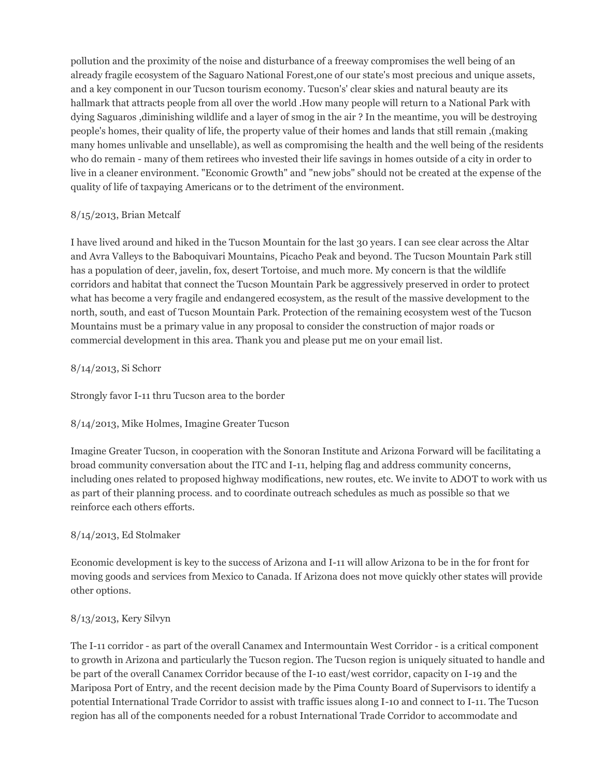pollution and the proximity of the noise and disturbance of a freeway compromises the well being of an already fragile ecosystem of the Saguaro National Forest,one of our state's most precious and unique assets, and a key component in our Tucson tourism economy. Tucson's' clear skies and natural beauty are its hallmark that attracts people from all over the world .How many people will return to a National Park with dying Saguaros ,diminishing wildlife and a layer of smog in the air ? In the meantime, you will be destroying people's homes, their quality of life, the property value of their homes and lands that still remain ,(making many homes unlivable and unsellable), as well as compromising the health and the well being of the residents who do remain - many of them retirees who invested their life savings in homes outside of a city in order to live in a cleaner environment. "Economic Growth" and "new jobs" should not be created at the expense of the quality of life of taxpaying Americans or to the detriment of the environment.

## 8/15/2013, Brian Metcalf

I have lived around and hiked in the Tucson Mountain for the last 30 years. I can see clear across the Altar and Avra Valleys to the Baboquivari Mountains, Picacho Peak and beyond. The Tucson Mountain Park still has a population of deer, javelin, fox, desert Tortoise, and much more. My concern is that the wildlife corridors and habitat that connect the Tucson Mountain Park be aggressively preserved in order to protect what has become a very fragile and endangered ecosystem, as the result of the massive development to the north, south, and east of Tucson Mountain Park. Protection of the remaining ecosystem west of the Tucson Mountains must be a primary value in any proposal to consider the construction of major roads or commercial development in this area. Thank you and please put me on your email list.

## 8/14/2013, Si Schorr

Strongly favor I-11 thru Tucson area to the border

# 8/14/2013, Mike Holmes, Imagine Greater Tucson

Imagine Greater Tucson, in cooperation with the Sonoran Institute and Arizona Forward will be facilitating a broad community conversation about the ITC and I-11, helping flag and address community concerns, including ones related to proposed highway modifications, new routes, etc. We invite to ADOT to work with us as part of their planning process. and to coordinate outreach schedules as much as possible so that we reinforce each others efforts.

# 8/14/2013, Ed Stolmaker

Economic development is key to the success of Arizona and I-11 will allow Arizona to be in the for front for moving goods and services from Mexico to Canada. If Arizona does not move quickly other states will provide other options.

# 8/13/2013, Kery Silvyn

The I-11 corridor - as part of the overall Canamex and Intermountain West Corridor - is a critical component to growth in Arizona and particularly the Tucson region. The Tucson region is uniquely situated to handle and be part of the overall Canamex Corridor because of the I-10 east/west corridor, capacity on I-19 and the Mariposa Port of Entry, and the recent decision made by the Pima County Board of Supervisors to identify a potential International Trade Corridor to assist with traffic issues along I-10 and connect to I-11. The Tucson region has all of the components needed for a robust International Trade Corridor to accommodate and